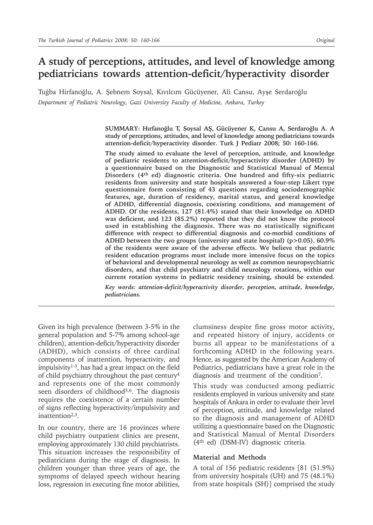# **A study of perceptions, attitudes, and level of knowledge among pediatricians towards attention-deficit/hyperactivity disorder**

Tuğba Hirfanoğlu, A. Şebnem Soysal, Kıvılcım Gücüyener, Ali Cansu, Ayşe Serdaroğlu *Department of Pediatric Neurology, Gazi University Faculty of Medicine, Ankara, Turkey*

> **SUMMARY: Hırfanoğlu T, Soysal AŞ, Gücüyener K, Cansu A, Serdaroğlu A. A study of perceptions, attitudes, and level of knowledge among pediatricians towards attention-deficit/hyperactivity disorder. Turk J Pediatr 2008; 50: 160-166.**

> **The study aimed to evaluate the level of perception, attitude, and knowledge of pediatric residents to attention-deficit/hyperactivity disorder (ADHD) by a questionnaire based on the Diagnostic and Statistical Manual of Mental Disorders (4th ed) diagnostic criteria. One hundred and fifty-six pediatric residents from university and state hospitals answered a four-step Likert type questionnaire form consisting of 43 questions regarding sociodemographic features, age, duration of residency, marital status, and general knowledge of ADHD, differential diagnosis, coexisting conditions, and management of ADHD. Of the residents, 127 (81.4%) stated that their knowledge on ADHD was deficient, and 123 (85.2%) reported that they did not know the protocol used in establishing the diagnosis. There was no statistically significant difference with respect to differential diagnosis and co-morbid conditions of ADHD between the two groups (university and state hospital) (p>0.05). 60.9% of the residents were aware of the adverse effects. We believe that pediatric resident education programs must include more intensive focus on the topics of behavioral and developmental neurology as well as common neuropsychiatric disorders, and that child psychiatry and child neurology rotations, within our current rotation systems in pediatric residency training, should be extended.**

> *Key words: attention-deficit/hyperactivity disorder, perception, attitude, knowledge, pediatricians.*

Given its high prevalence (between 3-5% in the general population and 5-7% among school-age children), attention-deficit/hyperactivity disorder (ADHD), which consists of three cardinal components of inattention, hyperactivity, and  $impulsivity<sup>1-3</sup>$ , has had a great impact on the field of child psychiatry throughout the past century4 and represents one of the most commonly seen disorders of childhood<sup>5,6</sup>. The diagnosis requires the coexistence of a certain number of signs reflecting hyperactivity/impulsivity and inattention<sup>2,3</sup>.

In our country, there are 16 provinces where child psychiatry outpatient clinics are present, employing approximately 130 child psychiatrists. This situation increases the responsibility of pediatricians during the stage of diagnosis. In children younger than three years of age, the symptoms of delayed speech without hearing loss, regression in executing fine motor abilities,

clumsiness despite fine gross motor activity, and repeated history of injury, accidents or burns all appear to be manifestations of a forthcoming ADHD in the following years. Hence, as suggested by the American Academy of Pediatrics, pediatricians have a great role in the diagnosis and treatment of the condition7.

This study was conducted among pediatric residents employed in various university and state hospitals of Ankara in order to evaluate their level of perception, attitude, and knowledge related to the diagnosis and management of ADHD utilizing a questionnaire based on the Diagnostic and Statistical Manual of Mental Disorders (4th ed) (DSM-IV) diagnostic criteria.

### **Material and Methods**

A total of 156 pediatric residents [81 (51.9%) from university hospitals (UH) and 75 (48.1%) from state hospitals (SH)] comprised the study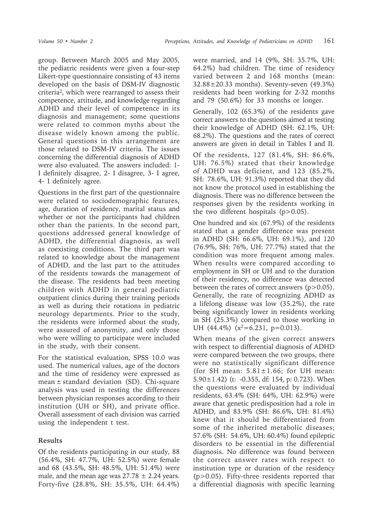group. Between March 2005 and May 2005, the pediatric residents were given a four-step Likert-type questionnaire consisting of 43 items developed on the basis of DSM-IV diagnostic criteria2, which were rearranged to assess their competence, attitude, and knowledge regarding ADHD and their level of competence in its diagnosis and management; some questions were related to common myths about the disease widely known among the public. General questions in this arrangement are those related to DSM-IV criteria. The issues concerning the differential diagnosis of ADHD were also evaluated. The answers included: 1- I definitely disagree, 2- I disagree, 3- I agree, 4- I definitely agree.

Questions in the first part of the questionnaire were related to sociodemographic features, age, duration of residency, marital status and whether or not the participants had children other than the patients. In the second part, questions addressed general knowledge of ADHD, the differential diagnosis, as well as coexisting conditions. The third part was related to knowledge about the management of ADHD, and the last part to the attitudes of the residents towards the management of the disease. The residents had been meeting children with ADHD in general pediatric outpatient clinics during their training periods as well as during their rotations in pediatric neurology departments. Prior to the study, the residents were informed about the study, were assured of anonymity, and only those who were willing to participate were included in the study, with their consent.

For the statistical evaluation, SPSS 10.0 was used. The numerical values, age of the doctors and the time of residency were expressed as mean  $\pm$  standard deviation (SD). Chi-square analysis was used in testing the differences between physician responses according to their institution (UH or SH), and private office. Overall assessment of each division was carried using the independent t test.

## **Results**

Of the residents participating in our study, 88 (56.4%, SH: 47.7%, UH: 52.5%) were female and 68 (43.5%, SH: 48.5%, UH: 51.4%) were male, and the mean age was  $27.78 \pm 2.24$  years. Forty-five (28.8%, SH: 35.5%, UH: 64.4%) were married, and 14 (9%, SH: 35.7%, UH: 64.2%) had children. The time of residency varied between 2 and 168 months (mean: 32.88±20.33 months). Seventy-seven (49.3%) residents had been working for 2-32 months and 79 (50.6%) for 33 months or longer.

Generally, 102 (65.3%) of the residents gave correct answers to the questions aimed at testing their knowledge of ADHD (SH: 62.1%, UH: 68.2%). The questions and the rates of correct answers are given in detail in Tables I and II.

Of the residents, 127 (81.4%, SH: 86.6%, UH: 76.5%) stated that their knowledge of ADHD was deficient, and 123 (85.2%, SH: 78.6%, UH: 91.3%) reported that they did not know the protocol used in establishing the diagnosis. There was no difference between the responses given by the residents working in the two different hospitals  $(p>0.05)$ .

One hundred and six (67.9%) of the residents stated that a gender difference was present in ADHD (SH: 66.6%, UH: 69.1%), and 120 (76.9%, SH: 76%, UH: 77.7%) stated that the condition was more frequent among males. When results were compared according to employment in SH or UH and to the duration of their residency, no difference was detected between the rates of correct answers (p>0.05). Generally, the rate of recognizing ADHD as a lifelong disease was low (35.2%), the rate being significantly lower in residents working in SH (25.3%) compared to those working in UH  $(44.4\%)$   $(x^2=6.231, p=0.013)$ .

When means of the given correct answers with respect to differential diagnosis of ADHD were compared between the two groups, there were no statistically significant difference (for SH mean:  $5.81 \pm 1.66$ ; for UH mean: 5.90 $\pm$ 1.42) (t: -0.355, df: 154, p: 0.723). When the questions were evaluated by individual residents, 63.4% (SH: 64%, UH: 62.9%) were aware that genetic predisposition had a role in ADHD, and 83.9% (SH: 86.6%, UH: 81.4%) knew that it should be differentiated from some of the inherited metabolic diseases; 57.6% (SH: 54.6%, UH: 60.4%) found epileptic disorders to be essential in the differential diagnosis. No difference was found between the correct answer rates with respect to institution type or duration of the residency (p>0.05). Fifty-three residents reported that a differential diagnosis with specific learning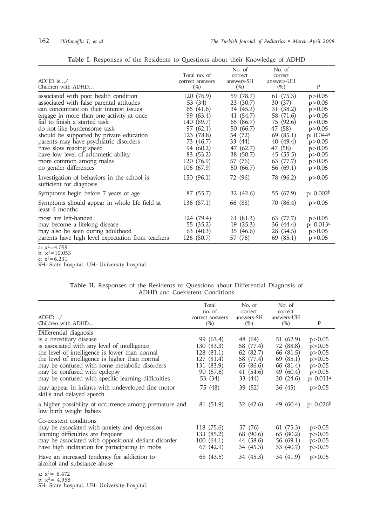| Table I. Responses of the Residents to Questions about their Knowledge of ADHD |  |  |
|--------------------------------------------------------------------------------|--|--|
|--------------------------------------------------------------------------------|--|--|

| ADHD is $/$<br>Children with ADHD                                                                                                                                                                                                                                                                                                                                                                                                                      | Total no. of<br>correct answers<br>$(\%)$                                                                                                                  | No. of<br>correct<br>answers-SH<br>$(\%)$                                                                                                          | No. of<br>correct<br>answers-UH<br>$(\%)$                                                                                                         | P                                                                                                                                                         |
|--------------------------------------------------------------------------------------------------------------------------------------------------------------------------------------------------------------------------------------------------------------------------------------------------------------------------------------------------------------------------------------------------------------------------------------------------------|------------------------------------------------------------------------------------------------------------------------------------------------------------|----------------------------------------------------------------------------------------------------------------------------------------------------|---------------------------------------------------------------------------------------------------------------------------------------------------|-----------------------------------------------------------------------------------------------------------------------------------------------------------|
| associated with poor health condition<br>associated with false parental attitudes<br>can concentrate on their interest issues<br>engage in more than one activity at once<br>fail to finish a started task<br>do not like burdensome task<br>should be supported by private education<br>parents may have psychiatric disorders<br>have slow reading speed<br>have low level of arithmetic ability<br>more common among males<br>no gender differences | 120 (76.9)<br>53 (34)<br>65 (41.6)<br>99 (63.4)<br>140 (89.7)<br>97(62.1)<br>123 (78.8)<br>73 (46.7)<br>94 (60.2)<br>83 (53.2)<br>120 (76.9)<br>106 (67.9) | 59 (78.7)<br>23 (30.7)<br>34 (45.3)<br>41 (54.7)<br>65 (86.7)<br>50 (66.7)<br>54 (72)<br>33 (44)<br>47 (62.7)<br>38 (50.7)<br>57 (76)<br>50 (66.7) | 61 (75.3)<br>30(37)<br>31 (38.2)<br>58 (71.6)<br>75 (92.6)<br>47 (58)<br>69 (85.1)<br>40 (49.4)<br>47 (58)<br>45 (55.5)<br>63 (77.7)<br>56 (69.1) | p > 0.05<br>p > 0.05<br>p > 0.05<br>p > 0.05<br>p > 0.05<br>p > 0.05<br>p: 0.044 <sup>a</sup><br>p > 0.05<br>p > 0.05<br>p > 0.05<br>p > 0.05<br>p > 0.05 |
| Investigation of behaviors in the school is<br>sufficient for diagnosis                                                                                                                                                                                                                                                                                                                                                                                | 150 (96.1)                                                                                                                                                 | 72 (96)                                                                                                                                            | 78 (96.2)                                                                                                                                         | p > 0.05                                                                                                                                                  |
| Symptoms begin before 7 years of age<br>Symptoms should appear in whole life field at<br>least 6 months                                                                                                                                                                                                                                                                                                                                                | 87 (55.7)<br>136 (87.1)                                                                                                                                    | 32 (42.6)<br>66 (88)                                                                                                                               | 55 (67.9)<br>70 (86.4)                                                                                                                            | p: $0.002b$<br>p > 0.05                                                                                                                                   |
| most are left-handed<br>may become a lifelong disease<br>may also be seen during adulthood<br>parents have high level expectation from teachers                                                                                                                                                                                                                                                                                                        | 124 (79.4)<br>55 (35.2)<br>63 (40.3)<br>126 (80.7)                                                                                                         | 61 (81.3)<br>19(25.3)<br>35 (46.6)<br>57 (76)                                                                                                      | 63 (77.7)<br>36 (44.4)<br>28 (34.5)<br>69 (85.1)                                                                                                  | p > 0.05<br>p: 0.013c<br>p > 0.05<br>p > 0.05                                                                                                             |

a:  $x^2=4.059$ 

b:  $x^2$ =10.053 c:  $x^2=6.231$ 

SH: State hospital. UH: University hospital.

|  |  |  |  |  |                                | Table II. Responses of the Residents to Questions about Differential Diagnosis of |  |
|--|--|--|--|--|--------------------------------|-----------------------------------------------------------------------------------|--|
|  |  |  |  |  | ADHD and Coexistent Conditions |                                                                                   |  |

|                                                                                   | Total           | No. of     | No. of     |                       |
|-----------------------------------------------------------------------------------|-----------------|------------|------------|-----------------------|
|                                                                                   | no. of          | correct    | correct    |                       |
| ADHD/                                                                             | correct answers | answers-SH | answers-UH |                       |
| Children with ADHD                                                                | $(\%)$          | $(\%)$     | $(\%)$     | P                     |
| Differential diagnosis                                                            |                 |            |            |                       |
| is a hereditary disease                                                           | 99 (63.4)       | 48 (64)    | 51 (62.9)  | p > 0.05              |
| is associated with any level of intelligence                                      | 130 (83.3)      | 58 (77.4)  | 72 (88.8)  | p > 0.05              |
| the level of intelligence is lower than normal                                    | 128 (81.1)      | 62 (82.7)  | 66 (81.5)  | p > 0.05              |
| the level of intelligence is higher than normal                                   | 127 (81.4)      | 58 (77.4)  | 69 (85.1)  | p > 0.05              |
| may be confused with some metabolic disorders                                     | 131 (83.9)      | 65 (86.6)  | 66 (81.4)  | p > 0.05              |
| may be confused with epilepsy                                                     | 90 (57.6)       | 41 (54.6)  | 49 (60.4)  | p > 0.05              |
| may be confused with specific learning difficulties                               | 53 (34)         | 33 (44)    | 20(24.6)   | p: 0.011 <sup>a</sup> |
| may appear in infants with undeveloped fine motor<br>skills and delayed speech    | 75 (48)         | 39 (52)    | 36 (45)    | p > 0.05              |
| a higher possibility of occurrence among premature and<br>low birth weight babies | 81 (51.9)       | 32(42.6)   | 49 (60.4)  | p: $0.026b$           |
| Co-existent conditions                                                            |                 |            |            |                       |
| may be associated with anxiety and depression                                     | 118 (75.6)      | 57 (76)    | 61 (75.3)  | p > 0.05              |
| learning difficulties are frequent                                                | 133 (85.2)      | 68 (90.6)  | 65 (80.2)  | p > 0.05              |
| may be associated with oppositional defiant disorder                              | 100 (64.1)      | 44 (58.6)  | 56 (69.1)  | p > 0.05              |
| have high inclination for participating in mobs                                   | 67 (42.9)       | 34 (45.3)  | 33 (40.7)  | p > 0.05              |
| Have an increased tendency for addiction to<br>alcohol and substance abuse        | 68 (43.5)       | 34 (45.3)  | 34 (41.9)  | p > 0.05              |

a:  $x^2$  = 6.472

b:  $x^2$  = 4.958

SH: State hospital. UH: University hospital.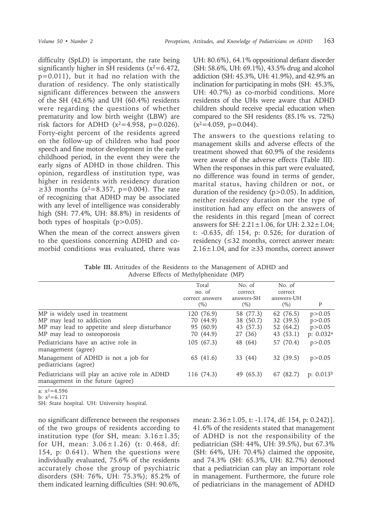difficulty (SpLD) is important, the rate being significantly higher in SH residents  $(x^2=6.472)$ , p=0.011), but it had no relation with the duration of residency. The only statistically significant differences between the answers of the SH (42.6%) and UH (60.4%) residents were regarding the questions of whether prematurity and low birth weight (LBW) are risk factors for ADHD  $(x^2=4.958, p=0.026)$ . Forty-eight percent of the residents agreed on the follow-up of children who had poor speech and fine motor development in the early childhood period, in the event they were the early signs of ADHD in those children. This opinion, regardless of institution type, was higher in residents with residency duration ≥33 months ( $x^2 = 8.357$ , p=0.004). The rate of recognizing that ADHD may be associated with any level of intelligence was considerably high (SH: 77.4%, UH: 88.8%) in residents of both types of hospitals (p>0.05).

When the mean of the correct answers given to the questions concerning ADHD and comorbid conditions was evaluated, there was

UH: 80.6%), 64.1% oppositional defiant disorder (SH: 58.6%, UH: 69.1%), 43.5% drug and alcohol addiction (SH: 45.3%, UH: 41.9%), and 42.9% an inclination for participating in mobs (SH: 45.3%, UH: 40.7%) as co-morbid conditions. More residents of the UHs were aware that ADHD children should receive special education when compared to the SH residents (85.1% vs. 72%)  $(x^2=4.059, p=0.044)$ .

The answers to the questions relating to management skills and adverse effects of the treatment showed that 60.9% of the residents were aware of the adverse effects (Table III). When the responses in this part were evaluated, no difference was found in terms of gender, marital status, having children or not, or duration of the residency  $(p>0.05)$ . In addition, neither residency duration nor the type of institution had any effect on the answers of the residents in this regard [mean of correct answers for SH:  $2.21 \pm 1.06$ , for UH:  $2.32 \pm 1.04$ ; t: -0.635, df: 154, p: 0.526; for duration of residency (≤32 months, correct answer mean: 2.16 $\pm$ 1.04, and for  $\geq$ 33 months, correct answer

**Table III.** Attitudes of the Residents to the Management of ADHD and Adverse Effects of Methylphenidate (MP)

|                                                                                                                                            | Total<br>no. of<br>correct answers<br>$(\%)$      | No. of<br>correct<br>answers-SH<br>$(\% )$     | No. of<br>correct<br>answers-UH<br>$(\%)$        | P                                                           |
|--------------------------------------------------------------------------------------------------------------------------------------------|---------------------------------------------------|------------------------------------------------|--------------------------------------------------|-------------------------------------------------------------|
| MP is widely used in treatment<br>MP may lead to addiction<br>MP may lead to appetite and sleep disturbance<br>MP may lead to osteoporosis | 120 (76.9)<br>70 (44.9)<br>95 (60.9)<br>70 (44.9) | 58 (77.3)<br>38 (50.7)<br>43 (57.3)<br>27 (36) | 62 (76.5)<br>32 (39.5)<br>52 (64.2)<br>43 (53.1) | p > 0.05<br>p > 0.05<br>p > 0.05<br>p: $0.032$ <sup>a</sup> |
| Pediatricians have an active role in<br>management (agree)                                                                                 | 105(67.3)                                         | 48 (64)                                        | 57 (70.4)                                        | p > 0.05                                                    |
| Management of ADHD is not a job for<br>pediatricians (agree)                                                                               | 65 (41.6)                                         | 33 (44)                                        | 32 (39.5)                                        | p > 0.05                                                    |
| Pediatricians will play an active role in ADHD<br>management in the future (agree)                                                         | 116 (74.3)                                        | 49 (65.3)                                      | 67 (82.7)                                        | p: $0.013b$                                                 |
| $a: x^2 - 4.596$                                                                                                                           |                                                   |                                                |                                                  |                                                             |

a:  $x^2=4.596$ b:  $x^2=6.171$ 

SH: State hospital. UH: University hospital.

no significant difference between the responses of the two groups of residents according to institution type (for SH, mean:  $3.16 \pm 1.35$ ; for UH, mean: 3.06±1.26) (t: 0.468, df: 154, p: 0.641). When the questions were individually evaluated, 75.6% of the residents accurately chose the group of psychiatric disorders (SH: 76%, UH: 75.3%); 85.2% of them indicated learning difficulties (SH: 90.6%,

mean: 2.36±1.05, t: -1.174, df: 154, p: 0.242)]. 41.6% of the residents stated that management of ADHD is not the responsibility of the pediatrician (SH: 44%, UH: 39.5%), but 67.3% (SH: 64%, UH: 70.4%) claimed the opposite, and 74.3% (SH: 65.3%, UH: 82.7%) denoted that a pediatrician can play an important role in management. Furthermore, the future role of pediatricians in the management of ADHD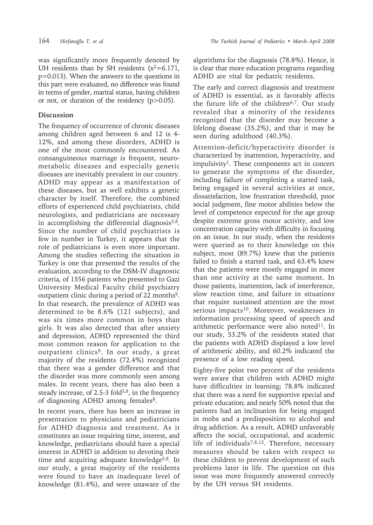was significantly more frequently denoted by UH residents than by SH residents  $(x^2=6.171,$ p=0.013). When the answers to the questions in this part were evaluated, no difference was found in terms of gender, marital status, having children or not, or duration of the residency (p>0.05).

## **Discussion**

The frequency of occurrence of chronic diseases among children aged between 6 and 12 is 4- 12%, and among these disorders, ADHD is one of the most commonly encountered. As consanguineous marriage is frequent, neurometabolic diseases and especially genetic diseases are inevitably prevalent in our country. ADHD may appear as a manifestation of these diseases, but as well exhibits a genetic character by itself. Therefore, the combined efforts of experienced child psychiatrists, child neurologists, and pediatricians are necessary in accomplishing the differential diagnosis<sup>5,8</sup>. Since the number of child psychiatrists is few in number in Turkey, it appears that the role of pediatricians is even more important. Among the studies reflecting the situation in Turkey is one that presented the results of the evaluation, according to the DSM-IV diagnostic criteria, of 1556 patients who presented to Gazi University Medical Faculty child psychiatry outpatient clinic during a period of 22 months9. In that research, the prevalence of ADHD was determined to be 8.6% (121 subjects), and was six times more common in boys than girls. It was also detected that after anxiety and depression, ADHD represented the third most common reason for application to the outpatient clinics<sup>9</sup>. In our study, a great majority of the residents (72.4%) recognized that there was a gender difference and that the disorder was more commonly seen among males. In recent years, there has also been a steady increase, of 2.5-3 fold<sup>5,8</sup>, in the frequency of diagnosing ADHD among females<sup>8</sup>.

In recent years, there has been an increase in presentation to physicians and pediatricians for ADHD diagnosis and treatment. As it constitutes an issue requiring time, interest, and knowledge, pediatricians should have a special interest in ADHD in addition to devoting their time and acquiring adequate knowledge5,8. In our study, a great majority of the residents were found to have an inadequate level of knowledge (81.4%), and were unaware of the

algorithms for the diagnosis (78.8%). Hence, it is clear that more education programs regarding ADHD are vital for pediatric residents.

The early and correct diagnosis and treatment of ADHD is essential, as it favorably affects the future life of the children<sup>6,7</sup>. Our study revealed that a minority of the residents recognized that the disorder may become a lifelong disease (35.2%), and that it may be seen during adulthood (40.3%).

Attention-deficit/hyperactivity disorder is characterized by inattention, hyperactivity, and impulsivity1. These components act in concert to generate the symptoms of the disorder, including failure of completing a started task, being engaged in several activities at once, dissatisfaction, low frustration threshold, poor social judgment, fine motor abilities below the level of competence expected for the age group despite extreme gross motor activity, and low concentration capacity with difficulty in focusing on an issue. In our study, when the residents were queried as to their knowledge on this subject, most (89.7%) knew that the patients failed to finish a started task, and 63.4% knew that the patients were mostly engaged in more than one activity at the same moment. In those patients, inattention, lack of interference, slow reaction time, and failure in situations that require sustained attention are the most serious impacts<sup>10</sup>. Moreover, weaknesses in information processing speed of speech and arithmetic performance were also noted<sup>11</sup>. In our study, 53.2% of the residents stated that the patients with ADHD displayed a low level of arithmetic ability, and 60.2% indicated the presence of a low reading speed.

Eighty-five point two percent of the residents were aware that children with ADHD might have difficulties in learning; 78.8% indicated that there was a need for supportive special and private education; and nearly 50% noted that the patients had an inclination for being engaged in mobs and a predisposition to alcohol and drug addiction. As a result, ADHD unfavorably affects the social, occupational, and academic life of individuals<sup>7,8,12</sup>. Therefore, necessary measures should be taken with respect to these children to prevent development of such problems later in life. The question on this issue was more frequently answered correctly by the UH versus SH residents.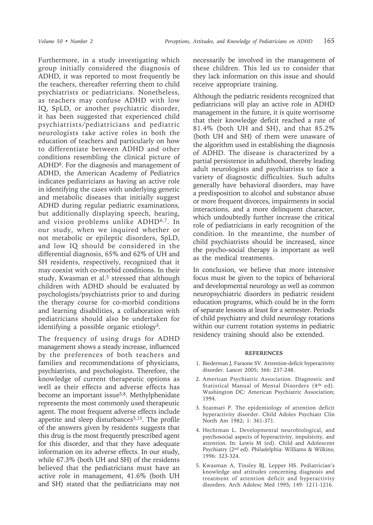Furthermore, in a study investigating which group initially considered the diagnosis of ADHD, it was reported to most frequently be the teachers, thereafter referring them to child psychiatrists or pediatricians. Nonetheless, as teachers may confuse ADHD with low IQ, SpLD, or another psychiatric disorder, it has been suggested that experienced child psychiatrists/pediatricians and pediatric neurologists take active roles in both the education of teachers and particularly on how to differentiate between ADHD and other conditions resembling the clinical picture of ADHD8. For the diagnosis and management of ADHD, the American Academy of Pediatrics indicates pediatricians as having an active role in identifying the cases with underlying genetic and metabolic diseases that initially suggest ADHD during regular pediatric examinations, but additionally displaying speech, hearing, and vision problems unlike ADHD6,7. In our study, when we inquired whether or not metabolic or epileptic disorders, SpLD, and low IQ should be considered in the differential diagnosis, 65% and 62% of UH and SH residents, respectively, recognized that it may coexist with co-morbid conditions. In their study, Kwasman et al.<sup>5</sup> stressed that although children with ADHD should be evaluated by psychologists/psychiatrists prior to and during the therapy course for co-morbid conditions and learning disabilities, a collaboration with pediatricians should also be undertaken for identifying a possible organic etiology<sup>5</sup>.

The frequency of using drugs for ADHD management shows a steady increase, influenced by the preferences of both teachers and families and recommendations of physicians, psychiatrists, and psychologists. Therefore, the knowledge of current therapeutic options as well as their effects and adverse effects has become an important issue<sup>5,8</sup>. Methylphenidate represents the most commonly used therapeutic agent. The most frequent adverse effects include appetite and sleep disturbances<sup>5,13</sup>. The profile of the answers given by residents suggests that this drug is the most frequently prescribed agent for this disorder, and that they have adequate information on its adverse effects. In our study, while 67.3% (both UH and SH) of the residents believed that the pediatricians must have an active role in management, 41.6% (both UH and SH) stated that the pediatricians may not

necessarily be involved in the management of these children. This led us to consider that they lack information on this issue and should receive appropriate training.

Although the pediatric residents recognized that pediatricians will play an active role in ADHD management in the future, it is quite worrisome that their knowledge deficit reached a rate of 81.4% (both UH and SH), and that 85.2% (both UH and SH) of them were unaware of the algorithm used in establishing the diagnosis of ADHD. The disease is characterized by a partial persistence in adulthood, thereby leading adult neurologists and psychiatrists to face a variety of diagnostic difficulties. Such adults generally have behavioral disorders, may have a predisposition to alcohol and substance abuse or more frequent divorces, impairments in social interactions, and a more delinquent character, which undoubtedly further increase the critical role of pediatricians in early recognition of the condition. In the meantime, the number of child psychiatrists should be increased, since the psycho-social therapy is important as well as the medical treatments.

In conclusion, we believe that more intensive focus must be given to the topics of behavioral and developmental neurology as well as common neuropsychiatric disorders in pediatric resident education programs, which could be in the form of separate lessons at least for a semester. Periods of child psychiatry and child neurology rotations within our current rotation systems in pediatric residency training should also be extended.

### **REFERENCES**

- 1. Biederman J, Faraone SV. Attention-deficit hyperactivity disorder. Lancet 2005; 366: 237-248.
- 2. American Psychiatric Association. Diagnostic and Statistical Manual of Mental Disorders (4th ed). Washington DC: American Psychiatric Association; 1994.
- 3. Szatmari P. The epidemiology of attention deficit hyperactivity disorder. Child Adoles Psychiatr Clin North Am 1982; 1: 361-371.
- 4. Hechtman L. Developmental neurobiological, and psychosocial aspects of hyperactivity, impulsivity, and attention. In: Lewis M (ed). Child and Adolescent Psychiatry (2nd ed). Philadelphia: Williams & Wilkins; 1996: 323-324.
- 5. Kwasman A, Tinsley BJ, Lepper HS. Pediatrician's knowledge and attitudes concerning diagnosis and treatment of attention deficit and hyperactivity disorders. Arch Adolesc Med 1995; 149: 1211-1216.